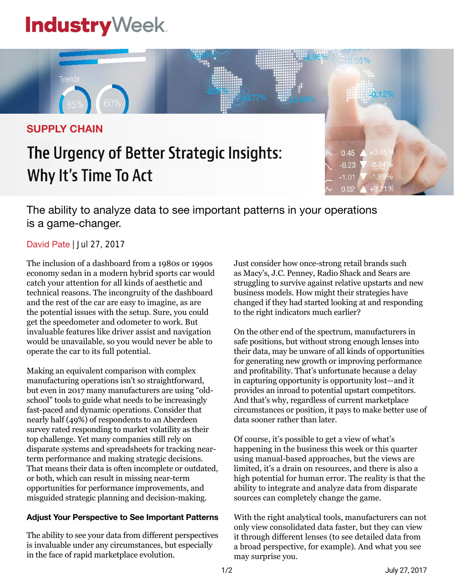# **Industry**Week



## The Urgency of Better Strategic Insights: Why It's Time To Act



The ability to analyze data to see important patterns in your operations is a game-changer.

### David Pate | Jul 27, 2017

The inclusion of a dashboard from a 1980s or 1990s economy sedan in a modern hybrid sports car would catch your attention for all kinds of aesthetic and technical reasons. The incongruity of the dashboard and the rest of the car are easy to imagine, as are the potential issues with the setup. Sure, you could get the speedometer and odometer to work. But invaluable features like driver assist and navigation would be unavailable, so you would never be able to operate the car to its full potential.

Making an equivalent comparison with complex manufacturing operations isn't so straightforward, but even in 2017 many manufacturers are using "oldschool" tools to guide what needs to be increasingly fast-paced and dynamic operations. Consider that nearly half (49%) of respondents to an Aberdeen survey rated responding to market volatility as their top challenge. Yet many companies still rely on disparate systems and spreadsheets for tracking nearterm performance and making strategic decisions. That means their data is often incomplete or outdated, or both, which can result in missing near-term opportunities for performance improvements, and misguided strategic planning and decision-making.

#### **Adjust Your Perspective to See Important Patterns**

The ability to see your data from different perspectives is invaluable under any circumstances, but especially in the face of rapid marketplace evolution.

Just consider how once-strong retail brands such as Macy's, J.C. Penney, Radio Shack and Sears are struggling to survive against relative upstarts and new business models. How might their strategies have changed if they had started looking at and responding to the right indicators much earlier?

On the other end of the spectrum, manufacturers in safe positions, but without strong enough lenses into their data, may be unware of all kinds of opportunities for generating new growth or improving performance and profitability. That's unfortunate because a delay in capturing opportunity is opportunity lost—and it provides an inroad to potential upstart competitors. And that's why, regardless of current marketplace circumstances or position, it pays to make better use of data sooner rather than later.

Of course, it's possible to get a view of what's happening in the business this week or this quarter using manual-based approaches, but the views are limited, it's a drain on resources, and there is also a high potential for human error. The reality is that the ability to integrate and analyze data from disparate sources can completely change the game.

With the right analytical tools, manufacturers can not only view consolidated data faster, but they can view it through different lenses (to see detailed data from a broad perspective, for example). And what you see may surprise you.